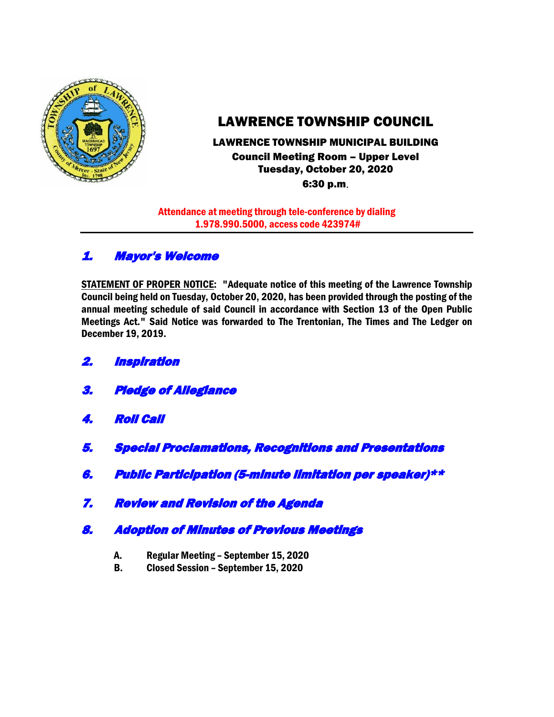

# LAWRENCE TOWNSHIP COUNCIL

# LAWRENCE TOWNSHIP MUNICIPAL BUILDING Council Meeting Room – Upper Level Tuesday, October 20, 2020

6:30 p.m.

Attendance at meeting through tele-conference by dialing 1.978.990.5000, access code 423974#

# 1. Mayor's Welcome

STATEMENT OF PROPER NOTICE: "Adequate notice of this meeting of the Lawrence Township Council being held on Tuesday, October 20, 2020, has been provided through the posting of the annual meeting schedule of said Council in accordance with Section 13 of the Open Public Meetings Act." Said Notice was forwarded to The Trentonian, The Times and The Ledger on December 19, 2019.

- 2. Inspiration
- 3. Pledge of Allegiance
- 4. Roll Call
- 5. Special Proclamations, Recognitions and Presentations
- 6. Public Participation (5-minute limitation per speaker)\*\*
- 7. Review and Revision of the Agenda
- 8. Adoption of Minutes of Previous Meetings
	- A. Regular Meeting September 15, 2020
	- B. Closed Session September 15, 2020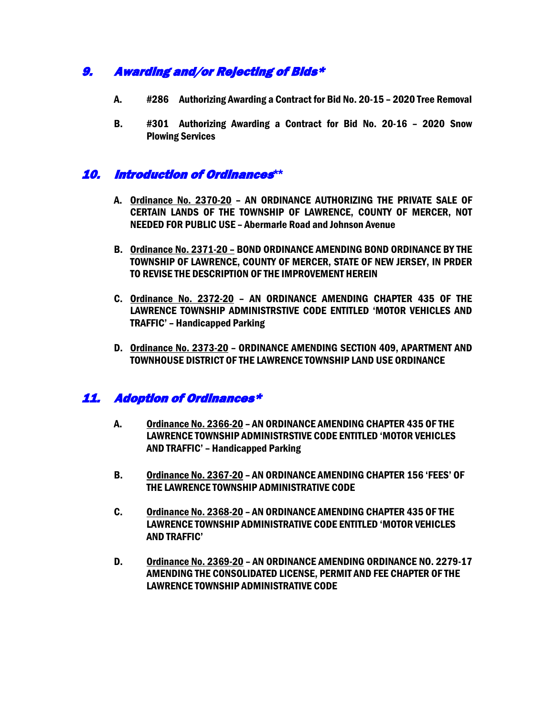# 9. Awarding and/or Rejecting of Bids\*

- A. #286 Authorizing Awarding a Contract for Bid No. 20-15 2020 Tree Removal
- B. #301 Authorizing Awarding a Contract for Bid No. 20-16 2020 Snow Plowing Services

# 10. Introduction of Ordinances**\*\***

- A. Ordinance No. 2370-20 AN ORDINANCE AUTHORIZING THE PRIVATE SALE OF CERTAIN LANDS OF THE TOWNSHIP OF LAWRENCE, COUNTY OF MERCER, NOT NEEDED FOR PUBLIC USE – Abermarle Road and Johnson Avenue
- B. Ordinance No. 2371-20 BOND ORDINANCE AMENDING BOND ORDINANCE BY THE TOWNSHIP OF LAWRENCE, COUNTY OF MERCER, STATE OF NEW JERSEY, IN PRDER TO REVISE THE DESCRIPTION OF THE IMPROVEMENT HEREIN
- C. Ordinance No. 2372-20 AN ORDINANCE AMENDING CHAPTER 435 OF THE LAWRENCE TOWNSHIP ADMINISTRSTIVE CODE ENTITLED 'MOTOR VEHICLES AND TRAFFIC' – Handicapped Parking
- D. Ordinance No. 2373-20 ORDINANCE AMENDING SECTION 409, APARTMENT AND TOWNHOUSE DISTRICT OF THE LAWRENCE TOWNSHIP LAND USE ORDINANCE

# 11. Adoption of Ordinances\*

- A. Ordinance No. 2366-20 AN ORDINANCE AMENDING CHAPTER 435 OF THE LAWRENCE TOWNSHIP ADMINISTRSTIVE CODE ENTITLED 'MOTOR VEHICLES AND TRAFFIC' – Handicapped Parking
- B. Ordinance No. 2367-20 AN ORDINANCE AMENDING CHAPTER 156 'FEES' OF THE LAWRENCE TOWNSHIP ADMINISTRATIVE CODE
- C. Ordinance No. 2368-20 AN ORDINANCE AMENDING CHAPTER 435 OF THE LAWRENCE TOWNSHIP ADMINISTRATIVE CODE ENTITLED 'MOTOR VEHICLES AND TRAFFIC'
- D. Ordinance No. 2369-20 AN ORDINANCE AMENDING ORDINANCE NO. 2279-17 AMENDING THE CONSOLIDATED LICENSE, PERMIT AND FEE CHAPTER OF THE LAWRENCE TOWNSHIP ADMINISTRATIVE CODE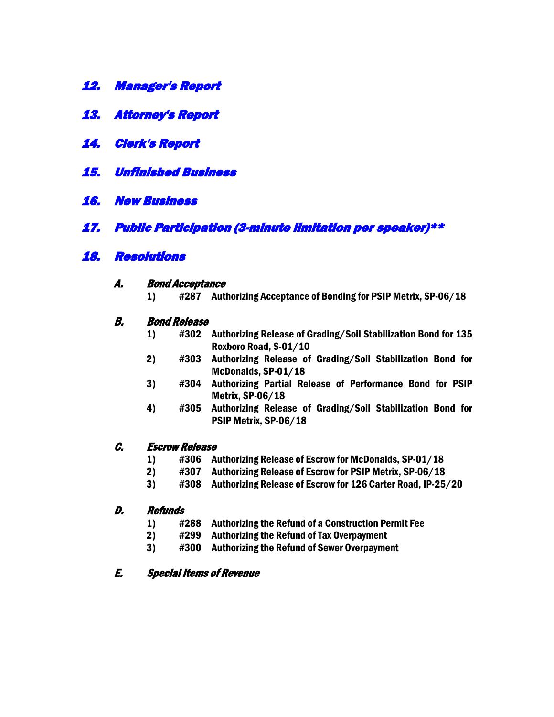- 12. Manager's Report
- 13. Attorney's Report
- 14. Clerk's Report
- 15. Unfinished Business
- 16. New Business
- 17. Public Participation (3-minute limitation per speaker)\*\*

## 18. Resolutions

- A. Bond Acceptance
	- 1) #287 Authorizing Acceptance of Bonding for PSIP Metrix, SP-06/18

### B. Bond Release

- 1) #302 Authorizing Release of Grading/Soil Stabilization Bond for 135 Roxboro Road, S-01/10
- 2) #303 Authorizing Release of Grading/Soil Stabilization Bond for McDonalds, SP-01/18
- 3) #304 Authorizing Partial Release of Performance Bond for PSIP Metrix, SP-06/18
- 4) #305 Authorizing Release of Grading/Soil Stabilization Bond for PSIP Metrix, SP-06/18

#### C. Escrow Release

- 1) #306 Authorizing Release of Escrow for McDonalds, SP-01/18
- 2) #307 Authorizing Release of Escrow for PSIP Metrix, SP-06/18
- 3) #308 Authorizing Release of Escrow for 126 Carter Road, IP-25/20

#### D. Refunds

- 1) #288 Authorizing the Refund of a Construction Permit Fee
- 2) #299 Authorizing the Refund of Tax Overpayment
- 3) #300 Authorizing the Refund of Sewer Overpayment

#### E. Special Items of Revenue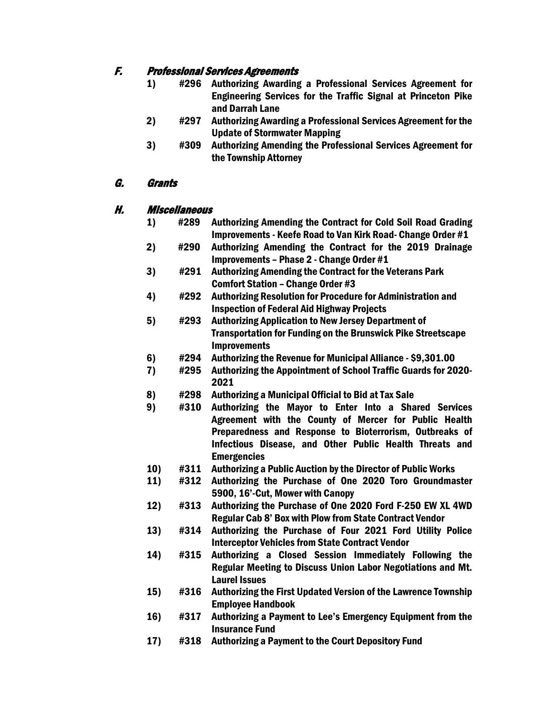## F. Professional Services Agreements

- 1) #296 Authorizing Awarding a Professional Services Agreement for Engineering Services for the Traffic Signal at Princeton Pike and Darrah Lane
- 2) #297 Authorizing Awarding a Professional Services Agreement for the Update of Stormwater Mapping
- 3) #309 Authorizing Amending the Professional Services Agreement for the Township Attorney

## G. Grants

### H. Miscellaneous

- 1) #289 Authorizing Amending the Contract for Cold Soil Road Grading Improvements - Keefe Road to Van Kirk Road- Change Order #1
- 2) #290 Authorizing Amending the Contract for the 2019 Drainage Improvements – Phase 2 - Change Order #1
- 3) #291 Authorizing Amending the Contract for the Veterans Park Comfort Station – Change Order #3
- 4) #292 Authorizing Resolution for Procedure for Administration and Inspection of Federal Aid Highway Projects
- 5) #293 Authorizing Application to New Jersey Department of Transportation for Funding on the Brunswick Pike Streetscape Improvements
- 6) #294 Authorizing the Revenue for Municipal Alliance \$9,301.00
- 7) #295 Authorizing the Appointment of School Traffic Guards for 2020- 2021
- 8) #298 Authorizing a Municipal Official to Bid at Tax Sale
- 9) #310 Authorizing the Mayor to Enter Into a Shared Services Agreement with the County of Mercer for Public Health Preparedness and Response to Bioterrorism, Outbreaks of Infectious Disease, and Other Public Health Threats and Emergencies
- 10) #311 Authorizing a Public Auction by the Director of Public Works
- 11) #312 Authorizing the Purchase of One 2020 Toro Groundmaster 5900, 16'-Cut, Mower with Canopy
- 12) #313 Authorizing the Purchase of One 2020 Ford F-250 EW XL 4WD Regular Cab 8' Box with Plow from State Contract Vendor
- 13) #314 Authorizing the Purchase of Four 2021 Ford Utility Police Interceptor Vehicles from State Contract Vendor
- 14) #315 Authorizing a Closed Session Immediately Following the Regular Meeting to Discuss Union Labor Negotiations and Mt. Laurel Issues
- 15) #316 Authorizing the First Updated Version of the Lawrence Township Employee Handbook
- 16) #317 Authorizing a Payment to Lee's Emergency Equipment from the Insurance Fund
- 17) #318 Authorizing a Payment to the Court Depository Fund